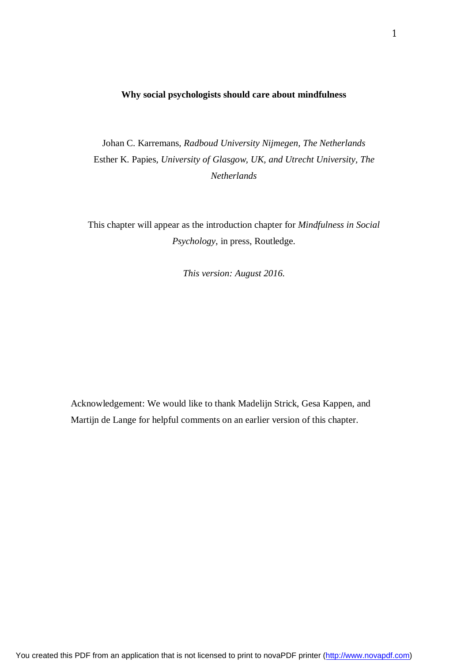# **Why social psychologists should care about mindfulness**

Johan C. Karremans*, Radboud University Nijmegen, The Netherlands* Esther K. Papies, *University of Glasgow, UK, and Utrecht University, The Netherlands*

This chapter will appear as the introduction chapter for *Mindfulness in Social Psychology*, in press, Routledge.

*This version: August 2016.* 

Acknowledgement: We would like to thank Madelijn Strick, Gesa Kappen, and Martijn de Lange for helpful comments on an earlier version of this chapter.

You created this PDF from an application that is not licensed to print to novaPDF printer ([http://www.novapdf.com\)](http://www.novapdf.com/)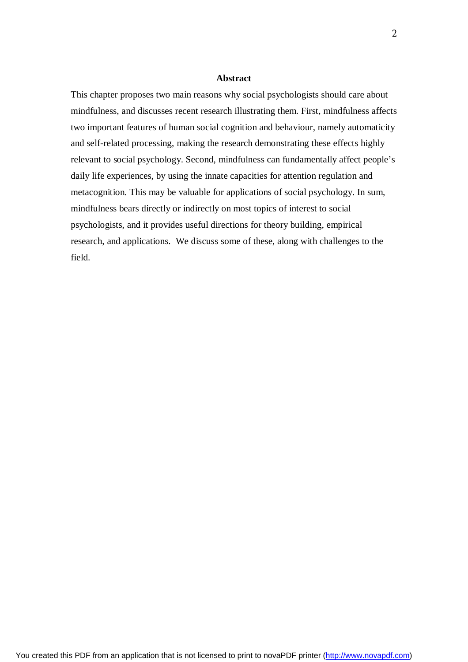# **Abstract**

This chapter proposes two main reasons why social psychologists should care about mindfulness, and discusses recent research illustrating them. First, mindfulness affects two important features of human social cognition and behaviour, namely automaticity and self-related processing, making the research demonstrating these effects highly relevant to social psychology. Second, mindfulness can fundamentally affect people's daily life experiences, by using the innate capacities for attention regulation and metacognition. This may be valuable for applications of social psychology. In sum, mindfulness bears directly or indirectly on most topics of interest to social psychologists, and it provides useful directions for theory building, empirical research, and applications. We discuss some of these, along with challenges to the field.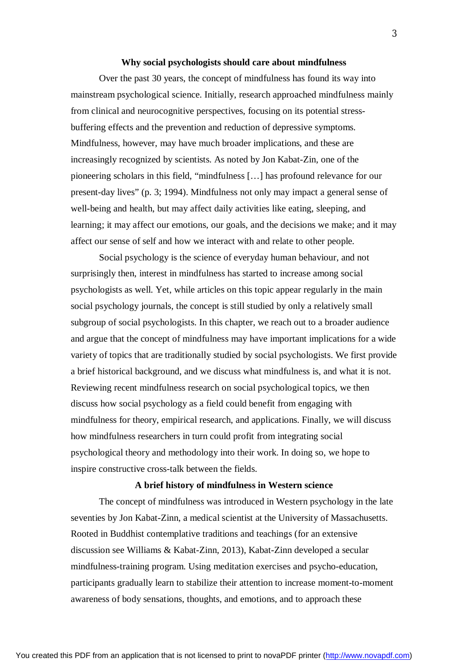#### **Why social psychologists should care about mindfulness**

Over the past 30 years, the concept of mindfulness has found its way into mainstream psychological science. Initially, research approached mindfulness mainly from clinical and neurocognitive perspectives, focusing on its potential stressbuffering effects and the prevention and reduction of depressive symptoms. Mindfulness, however, may have much broader implications, and these are increasingly recognized by scientists. As noted by Jon Kabat-Zin, one of the pioneering scholars in this field, "mindfulness […] has profound relevance for our present-day lives" (p. 3; 1994). Mindfulness not only may impact a general sense of well-being and health, but may affect daily activities like eating, sleeping, and learning; it may affect our emotions, our goals, and the decisions we make; and it may affect our sense of self and how we interact with and relate to other people.

Social psychology is the science of everyday human behaviour, and not surprisingly then, interest in mindfulness has started to increase among social psychologists as well. Yet, while articles on this topic appear regularly in the main social psychology journals, the concept is still studied by only a relatively small subgroup of social psychologists. In this chapter, we reach out to a broader audience and argue that the concept of mindfulness may have important implications for a wide variety of topics that are traditionally studied by social psychologists. We first provide a brief historical background, and we discuss what mindfulness is, and what it is not. Reviewing recent mindfulness research on social psychological topics, we then discuss how social psychology as a field could benefit from engaging with mindfulness for theory, empirical research, and applications. Finally, we will discuss how mindfulness researchers in turn could profit from integrating social psychological theory and methodology into their work. In doing so, we hope to inspire constructive cross-talk between the fields.

# **A brief history of mindfulness in Western science**

The concept of mindfulness was introduced in Western psychology in the late seventies by Jon Kabat-Zinn, a medical scientist at the University of Massachusetts. Rooted in Buddhist contemplative traditions and teachings (for an extensive discussion see Williams & Kabat-Zinn, 2013), Kabat-Zinn developed a secular mindfulness-training program. Using meditation exercises and psycho-education, participants gradually learn to stabilize their attention to increase moment-to-moment awareness of body sensations, thoughts, and emotions, and to approach these

You created this PDF from an application that is not licensed to print to novaPDF printer ([http://www.novapdf.com\)](http://www.novapdf.com/)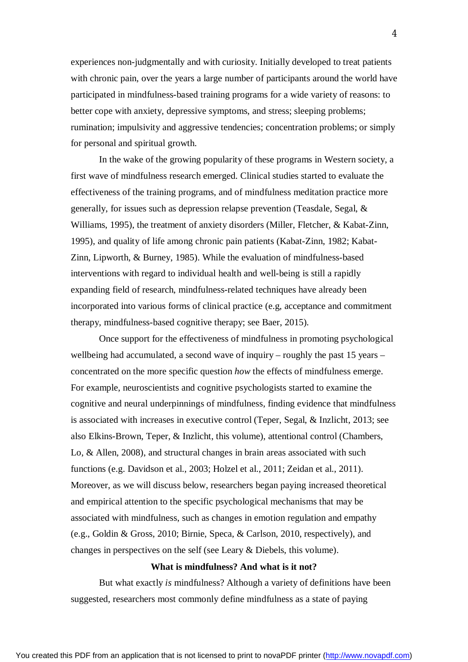experiences non-judgmentally and with curiosity. Initially developed to treat patients with chronic pain, over the years a large number of participants around the world have participated in mindfulness-based training programs for a wide variety of reasons: to better cope with anxiety, depressive symptoms, and stress; sleeping problems; rumination; impulsivity and aggressive tendencies; concentration problems; or simply for personal and spiritual growth.

In the wake of the growing popularity of these programs in Western society, a first wave of mindfulness research emerged. Clinical studies started to evaluate the effectiveness of the training programs, and of mindfulness meditation practice more generally, for issues such as depression relapse prevention (Teasdale, Segal, & Williams, 1995), the treatment of anxiety disorders (Miller, Fletcher, & Kabat-Zinn, 1995), and quality of life among chronic pain patients (Kabat-Zinn, 1982; Kabat-Zinn, Lipworth, & Burney, 1985). While the evaluation of mindfulness-based interventions with regard to individual health and well-being is still a rapidly expanding field of research, mindfulness-related techniques have already been incorporated into various forms of clinical practice (e.g, acceptance and commitment therapy, mindfulness-based cognitive therapy; see Baer, 2015).

Once support for the effectiveness of mindfulness in promoting psychological wellbeing had accumulated, a second wave of inquiry – roughly the past 15 years – concentrated on the more specific question *how* the effects of mindfulness emerge. For example, neuroscientists and cognitive psychologists started to examine the cognitive and neural underpinnings of mindfulness, finding evidence that mindfulness is associated with increases in executive control (Teper, Segal, & Inzlicht, 2013; see also Elkins-Brown, Teper, & Inzlicht, this volume), attentional control (Chambers, Lo, & Allen, 2008), and structural changes in brain areas associated with such functions (e.g. Davidson et al., 2003; Holzel et al., 2011; Zeidan et al., 2011). Moreover, as we will discuss below, researchers began paying increased theoretical and empirical attention to the specific psychological mechanisms that may be associated with mindfulness, such as changes in emotion regulation and empathy (e.g., Goldin & Gross, 2010; Birnie, Speca, & Carlson, 2010, respectively), and changes in perspectives on the self (see Leary & Diebels, this volume).

# **What is mindfulness? And what is it not?**

But what exactly *is* mindfulness? Although a variety of definitions have been suggested, researchers most commonly define mindfulness as a state of paying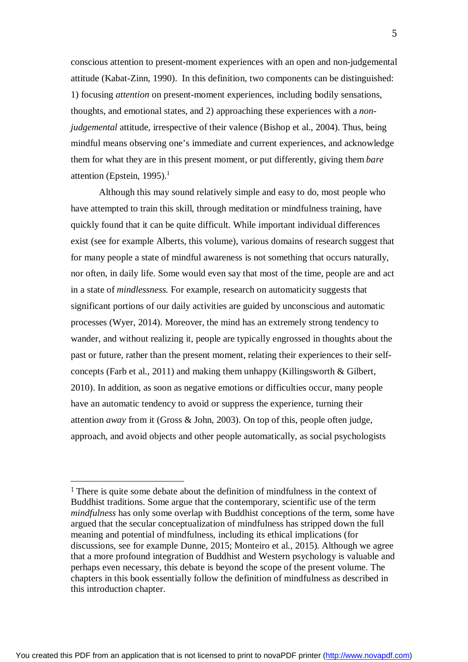conscious attention to present-moment experiences with an open and non-judgemental attitude (Kabat-Zinn, 1990). In this definition, two components can be distinguished: 1) focusing *attention* on present-moment experiences, including bodily sensations, thoughts, and emotional states, and 2) approaching these experiences with a *nonjudgemental* attitude, irrespective of their valence (Bishop et al., 2004). Thus, being mindful means observing one's immediate and current experiences, and acknowledge them for what they are in this present moment, or put differently, giving them *bare* attention (Epstein, 1995).<sup>1</sup>

Although this may sound relatively simple and easy to do, most people who have attempted to train this skill, through meditation or mindfulness training, have quickly found that it can be quite difficult. While important individual differences exist (see for example Alberts, this volume), various domains of research suggest that for many people a state of mindful awareness is not something that occurs naturally, nor often, in daily life. Some would even say that most of the time, people are and act in a state of *mindlessness.* For example, research on automaticity suggests that significant portions of our daily activities are guided by unconscious and automatic processes (Wyer, 2014). Moreover, the mind has an extremely strong tendency to wander, and without realizing it, people are typically engrossed in thoughts about the past or future, rather than the present moment, relating their experiences to their selfconcepts (Farb et al., 2011) and making them unhappy (Killingsworth & Gilbert, 2010). In addition, as soon as negative emotions or difficulties occur, many people have an automatic tendency to avoid or suppress the experience, turning their attention *away* from it (Gross & John, 2003). On top of this, people often judge, approach, and avoid objects and other people automatically, as social psychologists

 $\overline{a}$ 

<sup>1</sup> There is quite some debate about the definition of mindfulness in the context of Buddhist traditions. Some argue that the contemporary, scientific use of the term *mindfulness* has only some overlap with Buddhist conceptions of the term, some have argued that the secular conceptualization of mindfulness has stripped down the full meaning and potential of mindfulness, including its ethical implications (for discussions, see for example Dunne, 2015; Monteiro et al., 2015). Although we agree that a more profound integration of Buddhist and Western psychology is valuable and perhaps even necessary, this debate is beyond the scope of the present volume. The chapters in this book essentially follow the definition of mindfulness as described in this introduction chapter.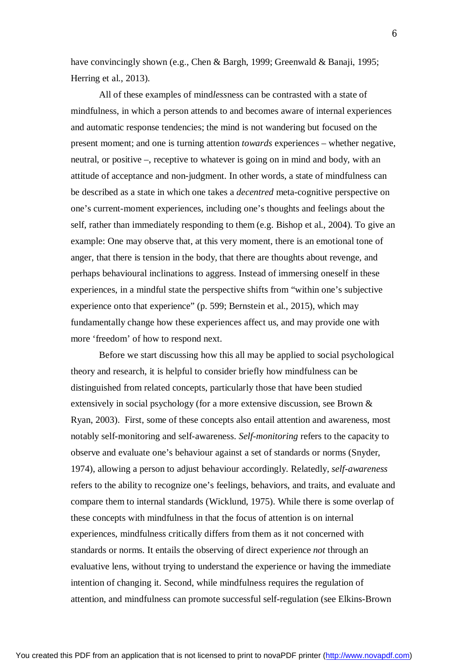have convincingly shown (e.g., Chen & Bargh, 1999; Greenwald & Banaji, 1995; Herring et al., 2013).

All of these examples of mind*less*ness can be contrasted with a state of mindfulness, in which a person attends to and becomes aware of internal experiences and automatic response tendencies; the mind is not wandering but focused on the present moment; and one is turning attention *towards* experiences – whether negative, neutral, or positive –, receptive to whatever is going on in mind and body, with an attitude of acceptance and non-judgment. In other words, a state of mindfulness can be described as a state in which one takes a *decentred* meta-cognitive perspective on one's current-moment experiences, including one's thoughts and feelings about the self, rather than immediately responding to them (e.g. Bishop et al., 2004). To give an example: One may observe that, at this very moment, there is an emotional tone of anger, that there is tension in the body, that there are thoughts about revenge, and perhaps behavioural inclinations to aggress. Instead of immersing oneself in these experiences, in a mindful state the perspective shifts from "within one's subjective experience onto that experience" (p. 599; Bernstein et al., 2015), which may fundamentally change how these experiences affect us, and may provide one with more 'freedom' of how to respond next.

Before we start discussing how this all may be applied to social psychological theory and research, it is helpful to consider briefly how mindfulness can be distinguished from related concepts, particularly those that have been studied extensively in social psychology (for a more extensive discussion, see Brown & Ryan, 2003). First, some of these concepts also entail attention and awareness, most notably self-monitoring and self-awareness. *Self-monitoring* refers to the capacity to observe and evaluate one's behaviour against a set of standards or norms (Snyder, 1974), allowing a person to adjust behaviour accordingly. Relatedly, *self-awareness*  refers to the ability to recognize one's feelings, behaviors, and traits, and evaluate and compare them to internal standards (Wicklund, 1975). While there is some overlap of these concepts with mindfulness in that the focus of attention is on internal experiences, mindfulness critically differs from them as it not concerned with standards or norms. It entails the observing of direct experience *not* through an evaluative lens, without trying to understand the experience or having the immediate intention of changing it. Second, while mindfulness requires the regulation of attention, and mindfulness can promote successful self-regulation (see Elkins-Brown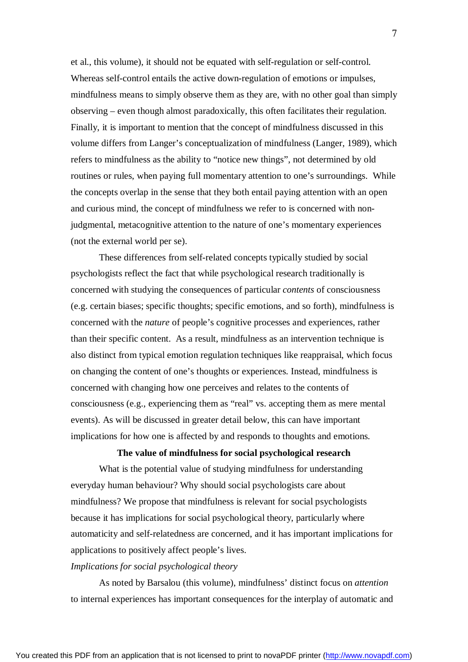et al., this volume), it should not be equated with self-regulation or self-control. Whereas self-control entails the active down-regulation of emotions or impulses, mindfulness means to simply observe them as they are, with no other goal than simply observing – even though almost paradoxically, this often facilitates their regulation. Finally, it is important to mention that the concept of mindfulness discussed in this volume differs from Langer's conceptualization of mindfulness (Langer, 1989), which refers to mindfulness as the ability to "notice new things", not determined by old routines or rules, when paying full momentary attention to one's surroundings. While the concepts overlap in the sense that they both entail paying attention with an open and curious mind, the concept of mindfulness we refer to is concerned with nonjudgmental, metacognitive attention to the nature of one's momentary experiences (not the external world per se).

These differences from self-related concepts typically studied by social psychologists reflect the fact that while psychological research traditionally is concerned with studying the consequences of particular *contents* of consciousness (e.g. certain biases; specific thoughts; specific emotions, and so forth), mindfulness is concerned with the *nature* of people's cognitive processes and experiences, rather than their specific content. As a result, mindfulness as an intervention technique is also distinct from typical emotion regulation techniques like reappraisal, which focus on changing the content of one's thoughts or experiences. Instead, mindfulness is concerned with changing how one perceives and relates to the contents of consciousness (e.g., experiencing them as "real" vs. accepting them as mere mental events). As will be discussed in greater detail below, this can have important implications for how one is affected by and responds to thoughts and emotions.

# **The value of mindfulness for social psychological research**

What is the potential value of studying mindfulness for understanding everyday human behaviour? Why should social psychologists care about mindfulness? We propose that mindfulness is relevant for social psychologists because it has implications for social psychological theory, particularly where automaticity and self-relatedness are concerned, and it has important implications for applications to positively affect people's lives.

# *Implications for social psychological theory*

As noted by Barsalou (this volume), mindfulness' distinct focus on *attention* to internal experiences has important consequences for the interplay of automatic and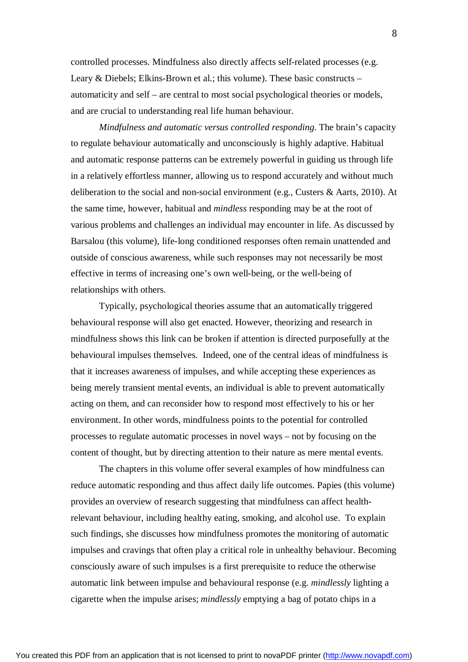controlled processes. Mindfulness also directly affects self-related processes (e.g. Leary & Diebels; Elkins-Brown et al.; this volume). These basic constructs – automaticity and self – are central to most social psychological theories or models, and are crucial to understanding real life human behaviour.

*Mindfulness and automatic versus controlled responding*. The brain's capacity to regulate behaviour automatically and unconsciously is highly adaptive. Habitual and automatic response patterns can be extremely powerful in guiding us through life in a relatively effortless manner, allowing us to respond accurately and without much deliberation to the social and non-social environment (e.g., Custers & Aarts, 2010). At the same time, however, habitual and *mindless* responding may be at the root of various problems and challenges an individual may encounter in life. As discussed by Barsalou (this volume), life-long conditioned responses often remain unattended and outside of conscious awareness, while such responses may not necessarily be most effective in terms of increasing one's own well-being, or the well-being of relationships with others.

Typically, psychological theories assume that an automatically triggered behavioural response will also get enacted. However, theorizing and research in mindfulness shows this link can be broken if attention is directed purposefully at the behavioural impulses themselves. Indeed, one of the central ideas of mindfulness is that it increases awareness of impulses, and while accepting these experiences as being merely transient mental events, an individual is able to prevent automatically acting on them, and can reconsider how to respond most effectively to his or her environment. In other words, mindfulness points to the potential for controlled processes to regulate automatic processes in novel ways – not by focusing on the content of thought, but by directing attention to their nature as mere mental events.

The chapters in this volume offer several examples of how mindfulness can reduce automatic responding and thus affect daily life outcomes. Papies (this volume) provides an overview of research suggesting that mindfulness can affect healthrelevant behaviour, including healthy eating, smoking, and alcohol use. To explain such findings, she discusses how mindfulness promotes the monitoring of automatic impulses and cravings that often play a critical role in unhealthy behaviour. Becoming consciously aware of such impulses is a first prerequisite to reduce the otherwise automatic link between impulse and behavioural response (e.g. *mindlessly* lighting a cigarette when the impulse arises; *mindlessly* emptying a bag of potato chips in a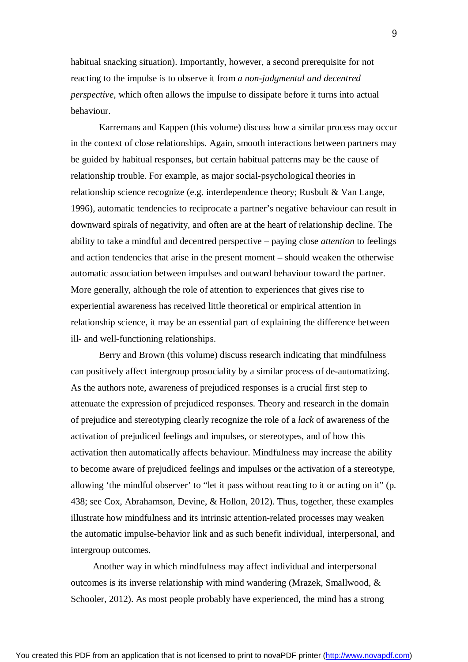habitual snacking situation). Importantly, however, a second prerequisite for not reacting to the impulse is to observe it from *a non-judgmental and decentred perspective*, which often allows the impulse to dissipate before it turns into actual behaviour.

Karremans and Kappen (this volume) discuss how a similar process may occur in the context of close relationships. Again, smooth interactions between partners may be guided by habitual responses, but certain habitual patterns may be the cause of relationship trouble. For example, as major social-psychological theories in relationship science recognize (e.g. interdependence theory; Rusbult & Van Lange, 1996), automatic tendencies to reciprocate a partner's negative behaviour can result in downward spirals of negativity, and often are at the heart of relationship decline. The ability to take a mindful and decentred perspective – paying close *attention* to feelings and action tendencies that arise in the present moment – should weaken the otherwise automatic association between impulses and outward behaviour toward the partner. More generally, although the role of attention to experiences that gives rise to experiential awareness has received little theoretical or empirical attention in relationship science, it may be an essential part of explaining the difference between ill- and well-functioning relationships.

Berry and Brown (this volume) discuss research indicating that mindfulness can positively affect intergroup prosociality by a similar process of de-automatizing. As the authors note, awareness of prejudiced responses is a crucial first step to attenuate the expression of prejudiced responses. Theory and research in the domain of prejudice and stereotyping clearly recognize the role of a *lack* of awareness of the activation of prejudiced feelings and impulses, or stereotypes, and of how this activation then automatically affects behaviour. Mindfulness may increase the ability to become aware of prejudiced feelings and impulses or the activation of a stereotype, allowing 'the mindful observer' to "let it pass without reacting to it or acting on it" (p. 438; see Cox, Abrahamson, Devine, & Hollon, 2012). Thus, together, these examples illustrate how mindfulness and its intrinsic attention-related processes may weaken the automatic impulse-behavior link and as such benefit individual, interpersonal, and intergroup outcomes.

Another way in which mindfulness may affect individual and interpersonal outcomes is its inverse relationship with mind wandering (Mrazek, Smallwood, & Schooler, 2012). As most people probably have experienced, the mind has a strong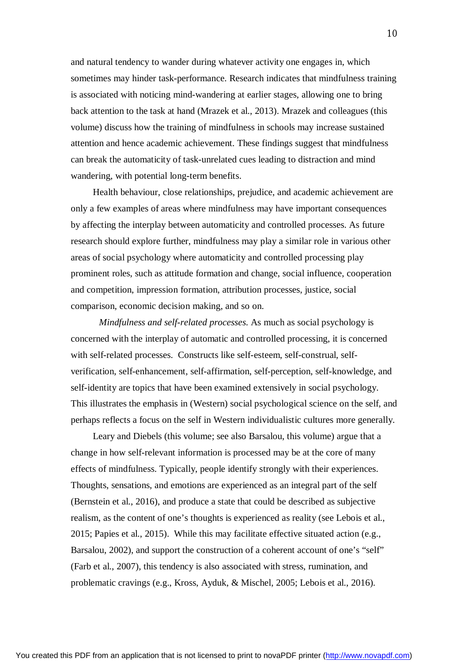and natural tendency to wander during whatever activity one engages in, which sometimes may hinder task-performance. Research indicates that mindfulness training is associated with noticing mind-wandering at earlier stages, allowing one to bring back attention to the task at hand (Mrazek et al., 2013). Mrazek and colleagues (this volume) discuss how the training of mindfulness in schools may increase sustained attention and hence academic achievement. These findings suggest that mindfulness can break the automaticity of task-unrelated cues leading to distraction and mind wandering, with potential long-term benefits.

Health behaviour, close relationships, prejudice, and academic achievement are only a few examples of areas where mindfulness may have important consequences by affecting the interplay between automaticity and controlled processes. As future research should explore further, mindfulness may play a similar role in various other areas of social psychology where automaticity and controlled processing play prominent roles, such as attitude formation and change, social influence, cooperation and competition, impression formation, attribution processes, justice, social comparison, economic decision making, and so on.

*Mindfulness and self-related processes.* As much as social psychology is concerned with the interplay of automatic and controlled processing, it is concerned with self-related processes. Constructs like self-esteem, self-construal, selfverification, self-enhancement, self-affirmation, self-perception, self-knowledge, and self-identity are topics that have been examined extensively in social psychology. This illustrates the emphasis in (Western) social psychological science on the self, and perhaps reflects a focus on the self in Western individualistic cultures more generally.

Leary and Diebels (this volume; see also Barsalou, this volume) argue that a change in how self-relevant information is processed may be at the core of many effects of mindfulness. Typically, people identify strongly with their experiences. Thoughts, sensations, and emotions are experienced as an integral part of the self (Bernstein et al., 2016), and produce a state that could be described as subjective realism, as the content of one's thoughts is experienced as reality (see Lebois et al., 2015; Papies et al., 2015). While this may facilitate effective situated action (e.g., Barsalou, 2002), and support the construction of a coherent account of one's "self" (Farb et al., 2007), this tendency is also associated with stress, rumination, and problematic cravings (e.g., Kross, Ayduk, & Mischel, 2005; Lebois et al., 2016).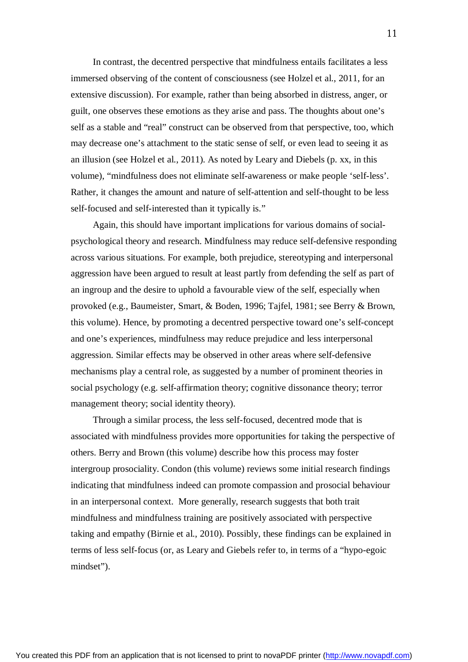In contrast, the decentred perspective that mindfulness entails facilitates a less immersed observing of the content of consciousness (see Holzel et al., 2011, for an extensive discussion). For example, rather than being absorbed in distress, anger, or guilt, one observes these emotions as they arise and pass. The thoughts about one's self as a stable and "real" construct can be observed from that perspective, too, which may decrease one's attachment to the static sense of self, or even lead to seeing it as an illusion (see Holzel et al., 2011). As noted by Leary and Diebels (p. xx, in this volume), "mindfulness does not eliminate self-awareness or make people 'self-less'. Rather, it changes the amount and nature of self-attention and self-thought to be less self-focused and self-interested than it typically is."

Again, this should have important implications for various domains of socialpsychological theory and research. Mindfulness may reduce self-defensive responding across various situations. For example, both prejudice, stereotyping and interpersonal aggression have been argued to result at least partly from defending the self as part of an ingroup and the desire to uphold a favourable view of the self, especially when provoked (e.g., Baumeister, Smart, & Boden, 1996; Tajfel, 1981; see Berry & Brown, this volume). Hence, by promoting a decentred perspective toward one's self-concept and one's experiences, mindfulness may reduce prejudice and less interpersonal aggression. Similar effects may be observed in other areas where self-defensive mechanisms play a central role, as suggested by a number of prominent theories in social psychology (e.g. self-affirmation theory; cognitive dissonance theory; terror management theory; social identity theory).

Through a similar process, the less self-focused, decentred mode that is associated with mindfulness provides more opportunities for taking the perspective of others. Berry and Brown (this volume) describe how this process may foster intergroup prosociality. Condon (this volume) reviews some initial research findings indicating that mindfulness indeed can promote compassion and prosocial behaviour in an interpersonal context. More generally, research suggests that both trait mindfulness and mindfulness training are positively associated with perspective taking and empathy (Birnie et al., 2010). Possibly, these findings can be explained in terms of less self-focus (or, as Leary and Giebels refer to, in terms of a "hypo-egoic mindset").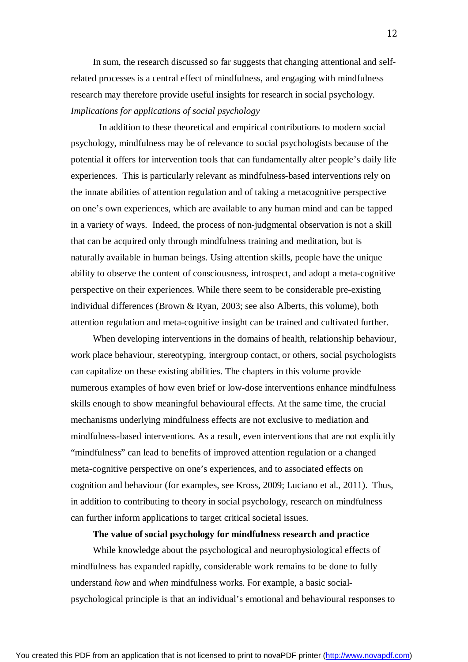In sum, the research discussed so far suggests that changing attentional and selfrelated processes is a central effect of mindfulness, and engaging with mindfulness research may therefore provide useful insights for research in social psychology. *Implications for applications of social psychology*

In addition to these theoretical and empirical contributions to modern social psychology, mindfulness may be of relevance to social psychologists because of the potential it offers for intervention tools that can fundamentally alter people's daily life experiences. This is particularly relevant as mindfulness-based interventions rely on the innate abilities of attention regulation and of taking a metacognitive perspective on one's own experiences, which are available to any human mind and can be tapped in a variety of ways. Indeed, the process of non-judgmental observation is not a skill that can be acquired only through mindfulness training and meditation, but is naturally available in human beings. Using attention skills, people have the unique ability to observe the content of consciousness, introspect, and adopt a meta-cognitive perspective on their experiences. While there seem to be considerable pre-existing individual differences (Brown & Ryan, 2003; see also Alberts, this volume), both attention regulation and meta-cognitive insight can be trained and cultivated further.

When developing interventions in the domains of health, relationship behaviour, work place behaviour, stereotyping, intergroup contact, or others, social psychologists can capitalize on these existing abilities. The chapters in this volume provide numerous examples of how even brief or low-dose interventions enhance mindfulness skills enough to show meaningful behavioural effects. At the same time, the crucial mechanisms underlying mindfulness effects are not exclusive to mediation and mindfulness-based interventions. As a result, even interventions that are not explicitly "mindfulness" can lead to benefits of improved attention regulation or a changed meta-cognitive perspective on one's experiences, and to associated effects on cognition and behaviour (for examples, see Kross, 2009; Luciano et al., 2011). Thus, in addition to contributing to theory in social psychology, research on mindfulness can further inform applications to target critical societal issues.

### **The value of social psychology for mindfulness research and practice**

While knowledge about the psychological and neurophysiological effects of mindfulness has expanded rapidly, considerable work remains to be done to fully understand *how* and *when* mindfulness works. For example, a basic socialpsychological principle is that an individual's emotional and behavioural responses to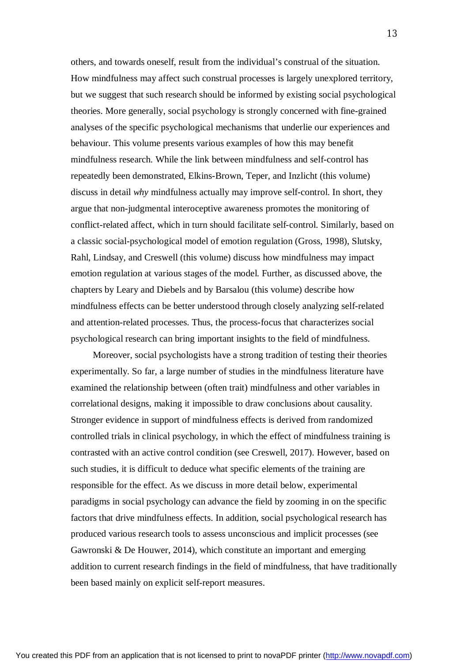others, and towards oneself, result from the individual's construal of the situation. How mindfulness may affect such construal processes is largely unexplored territory, but we suggest that such research should be informed by existing social psychological theories. More generally, social psychology is strongly concerned with fine-grained analyses of the specific psychological mechanisms that underlie our experiences and behaviour. This volume presents various examples of how this may benefit mindfulness research. While the link between mindfulness and self-control has repeatedly been demonstrated, Elkins-Brown, Teper, and Inzlicht (this volume) discuss in detail *why* mindfulness actually may improve self-control. In short, they argue that non-judgmental interoceptive awareness promotes the monitoring of conflict-related affect, which in turn should facilitate self-control. Similarly, based on a classic social-psychological model of emotion regulation (Gross, 1998), Slutsky, Rahl, Lindsay, and Creswell (this volume) discuss how mindfulness may impact emotion regulation at various stages of the model. Further, as discussed above, the chapters by Leary and Diebels and by Barsalou (this volume) describe how mindfulness effects can be better understood through closely analyzing self-related and attention-related processes. Thus, the process-focus that characterizes social psychological research can bring important insights to the field of mindfulness.

Moreover, social psychologists have a strong tradition of testing their theories experimentally. So far, a large number of studies in the mindfulness literature have examined the relationship between (often trait) mindfulness and other variables in correlational designs, making it impossible to draw conclusions about causality. Stronger evidence in support of mindfulness effects is derived from randomized controlled trials in clinical psychology, in which the effect of mindfulness training is contrasted with an active control condition (see Creswell, 2017). However, based on such studies, it is difficult to deduce what specific elements of the training are responsible for the effect. As we discuss in more detail below, experimental paradigms in social psychology can advance the field by zooming in on the specific factors that drive mindfulness effects. In addition, social psychological research has produced various research tools to assess unconscious and implicit processes (see Gawronski & De Houwer, 2014), which constitute an important and emerging addition to current research findings in the field of mindfulness, that have traditionally been based mainly on explicit self-report measures.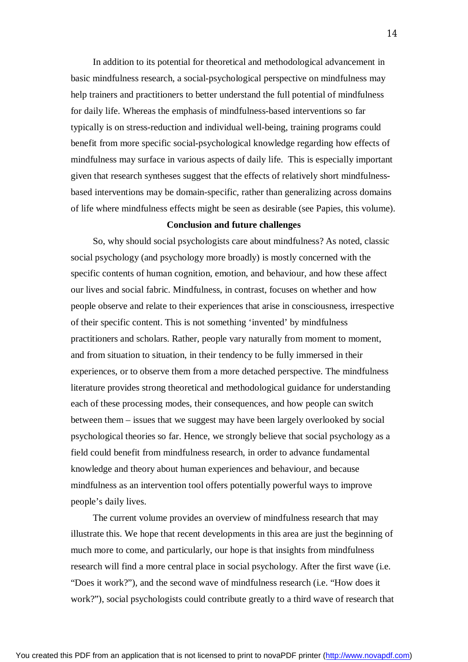In addition to its potential for theoretical and methodological advancement in basic mindfulness research, a social-psychological perspective on mindfulness may help trainers and practitioners to better understand the full potential of mindfulness for daily life. Whereas the emphasis of mindfulness-based interventions so far typically is on stress-reduction and individual well-being, training programs could benefit from more specific social-psychological knowledge regarding how effects of mindfulness may surface in various aspects of daily life. This is especially important given that research syntheses suggest that the effects of relatively short mindfulnessbased interventions may be domain-specific, rather than generalizing across domains of life where mindfulness effects might be seen as desirable (see Papies, this volume).

#### **Conclusion and future challenges**

So, why should social psychologists care about mindfulness? As noted, classic social psychology (and psychology more broadly) is mostly concerned with the specific contents of human cognition, emotion, and behaviour, and how these affect our lives and social fabric. Mindfulness, in contrast, focuses on whether and how people observe and relate to their experiences that arise in consciousness, irrespective of their specific content. This is not something 'invented' by mindfulness practitioners and scholars. Rather, people vary naturally from moment to moment, and from situation to situation, in their tendency to be fully immersed in their experiences, or to observe them from a more detached perspective. The mindfulness literature provides strong theoretical and methodological guidance for understanding each of these processing modes, their consequences, and how people can switch between them – issues that we suggest may have been largely overlooked by social psychological theories so far. Hence, we strongly believe that social psychology as a field could benefit from mindfulness research, in order to advance fundamental knowledge and theory about human experiences and behaviour, and because mindfulness as an intervention tool offers potentially powerful ways to improve people's daily lives.

The current volume provides an overview of mindfulness research that may illustrate this. We hope that recent developments in this area are just the beginning of much more to come, and particularly, our hope is that insights from mindfulness research will find a more central place in social psychology. After the first wave (i.e. "Does it work?"), and the second wave of mindfulness research (i.e. "How does it work?"), social psychologists could contribute greatly to a third wave of research that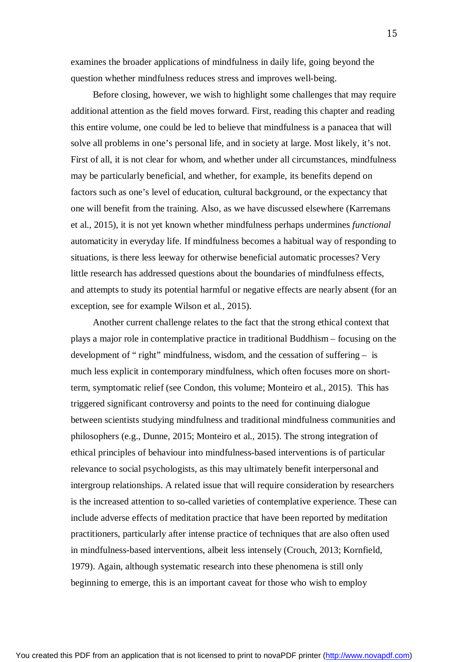examines the broader applications of mindfulness in daily life, going beyond the question whether mindfulness reduces stress and improves well-being.

Before closing, however, we wish to highlight some challenges that may require additional attention as the field moves forward. First, reading this chapter and reading this entire volume, one could be led to believe that mindfulness is a panacea that will solve all problems in one's personal life, and in society at large. Most likely, it's not. First of all, it is not clear for whom, and whether under all circumstances, mindfulness may be particularly beneficial, and whether, for example, its benefits depend on factors such as one's level of education, cultural background, or the expectancy that one will benefit from the training. Also, as we have discussed elsewhere (Karremans et al., 2015), it is not yet known whether mindfulness perhaps undermines *functional* automaticity in everyday life. If mindfulness becomes a habitual way of responding to situations, is there less leeway for otherwise beneficial automatic processes? Very little research has addressed questions about the boundaries of mindfulness effects, and attempts to study its potential harmful or negative effects are nearly absent (for an exception, see for example Wilson et al., 2015).

Another current challenge relates to the fact that the strong ethical context that plays a major role in contemplative practice in traditional Buddhism – focusing on the development of " right" mindfulness, wisdom, and the cessation of suffering – is much less explicit in contemporary mindfulness, which often focuses more on shortterm, symptomatic relief (see Condon, this volume; Monteiro et al., 2015). This has triggered significant controversy and points to the need for continuing dialogue between scientists studying mindfulness and traditional mindfulness communities and philosophers (e.g., Dunne, 2015; Monteiro et al., 2015). The strong integration of ethical principles of behaviour into mindfulness-based interventions is of particular relevance to social psychologists, as this may ultimately benefit interpersonal and intergroup relationships. A related issue that will require consideration by researchers is the increased attention to so-called varieties of contemplative experience. These can include adverse effects of meditation practice that have been reported by meditation practitioners, particularly after intense practice of techniques that are also often used in mindfulness-based interventions, albeit less intensely (Crouch, 2013; Kornfield, 1979). Again, although systematic research into these phenomena is still only beginning to emerge, this is an important caveat for those who wish to employ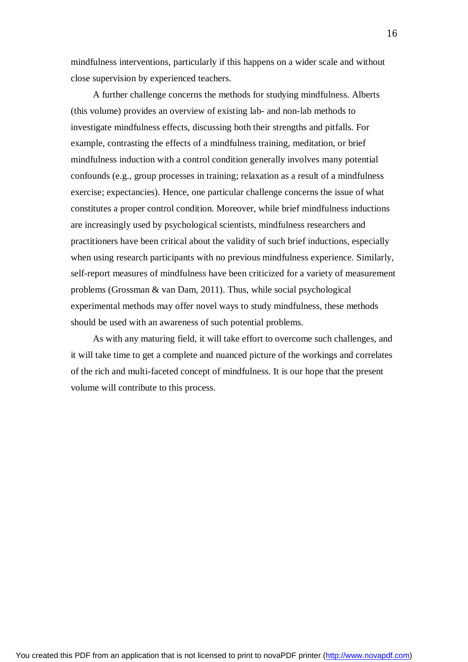mindfulness interventions, particularly if this happens on a wider scale and without close supervision by experienced teachers.

A further challenge concerns the methods for studying mindfulness. Alberts (this volume) provides an overview of existing lab- and non-lab methods to investigate mindfulness effects, discussing both their strengths and pitfalls. For example, contrasting the effects of a mindfulness training, meditation, or brief mindfulness induction with a control condition generally involves many potential confounds (e.g., group processes in training; relaxation as a result of a mindfulness exercise; expectancies). Hence, one particular challenge concerns the issue of what constitutes a proper control condition. Moreover, while brief mindfulness inductions are increasingly used by psychological scientists, mindfulness researchers and practitioners have been critical about the validity of such brief inductions, especially when using research participants with no previous mindfulness experience. Similarly, self-report measures of mindfulness have been criticized for a variety of measurement problems (Grossman & van Dam, 2011). Thus, while social psychological experimental methods may offer novel ways to study mindfulness, these methods should be used with an awareness of such potential problems.

As with any maturing field, it will take effort to overcome such challenges, and it will take time to get a complete and nuanced picture of the workings and correlates of the rich and multi-faceted concept of mindfulness. It is our hope that the present volume will contribute to this process.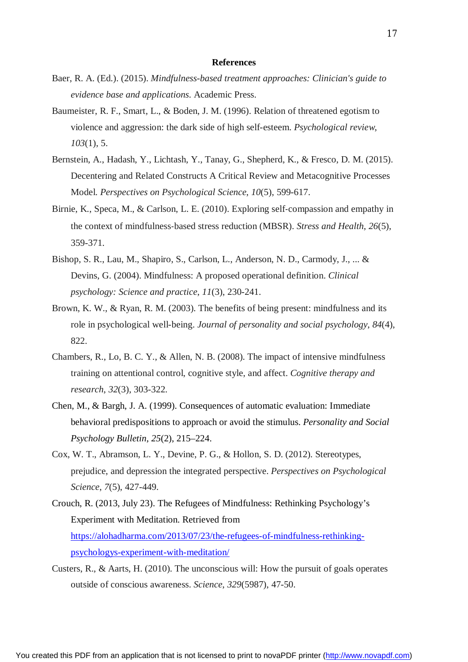### **References**

- Baer, R. A. (Ed.). (2015). *Mindfulness-based treatment approaches: Clinician's guide to evidence base and applications*. Academic Press.
- Baumeister, R. F., Smart, L., & Boden, J. M. (1996). Relation of threatened egotism to violence and aggression: the dark side of high self-esteem. *Psychological review*, *103*(1), 5.
- Bernstein, A., Hadash, Y., Lichtash, Y., Tanay, G., Shepherd, K., & Fresco, D. M. (2015). Decentering and Related Constructs A Critical Review and Metacognitive Processes Model. *Perspectives on Psychological Science*, *10*(5), 599-617.
- Birnie, K., Speca, M., & Carlson, L. E. (2010). Exploring self‐compassion and empathy in the context of mindfulness‐based stress reduction (MBSR). *Stress and Health*, *26*(5), 359-371.
- Bishop, S. R., Lau, M., Shapiro, S., Carlson, L., Anderson, N. D., Carmody, J., ... & Devins, G. (2004). Mindfulness: A proposed operational definition. *Clinical psychology: Science and practice*, *11*(3), 230-241.
- Brown, K. W., & Ryan, R. M. (2003). The benefits of being present: mindfulness and its role in psychological well-being. *Journal of personality and social psychology*, *84*(4), 822.
- Chambers, R., Lo, B. C. Y., & Allen, N. B. (2008). The impact of intensive mindfulness training on attentional control, cognitive style, and affect. *Cognitive therapy and research*, *32*(3), 303-322.
- Chen, M., & Bargh, J. A. (1999). Consequences of automatic evaluation: Immediate behavioral predispositions to approach or avoid the stimulus. *Personality and Social Psychology Bulletin*, *25*(2), 215–224.
- Cox, W. T., Abramson, L. Y., Devine, P. G., & Hollon, S. D. (2012). Stereotypes, prejudice, and depression the integrated perspective. *Perspectives on Psychological Science*, *7*(5), 427-449.
- Crouch, R. (2013, July 23). The Refugees of Mindfulness: Rethinking Psychology's Experiment with Meditation. Retrieved from [https://alohadharma.com/2013/07/23/the-refugees-of-mindfulness-rethinking](https://alohadharma.com/2013/07/23/the-refugees-of-mindfulness-rethinking-)psychologys-experiment-with-meditation/
- Custers, R., & Aarts, H. (2010). The unconscious will: How the pursuit of goals operates outside of conscious awareness. *Science*, *329*(5987), 47-50.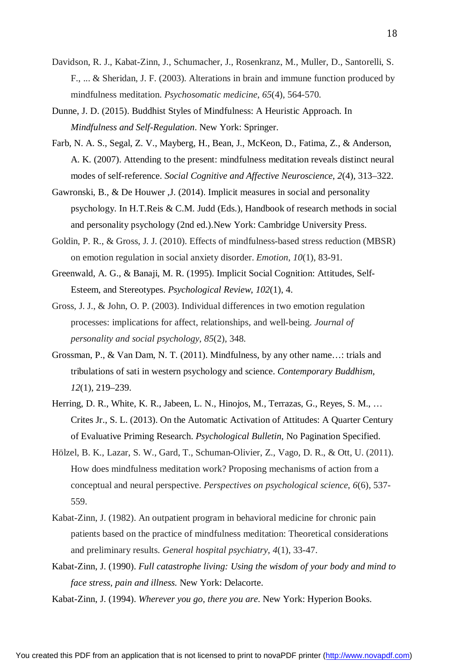- Davidson, R. J., Kabat-Zinn, J., Schumacher, J., Rosenkranz, M., Muller, D., Santorelli, S. F., ... & Sheridan, J. F. (2003). Alterations in brain and immune function produced by mindfulness meditation. *Psychosomatic medicine*, *65*(4), 564-570.
- Dunne, J. D. (2015). Buddhist Styles of Mindfulness: A Heuristic Approach. In *Mindfulness and Self-Regulation*. New York: Springer.
- Farb, N. A. S., Segal, Z. V., Mayberg, H., Bean, J., McKeon, D., Fatima, Z., & Anderson, A. K. (2007). Attending to the present: mindfulness meditation reveals distinct neural modes of self-reference. *Social Cognitive and Affective Neuroscience*, *2*(4), 313–322.
- Gawronski, B., & De Houwer ,J. (2014). Implicit measures in social and personality psychology. In H.T.Reis & C.M. Judd (Eds.), Handbook of research methods in social and personality psychology (2nd ed.).New York: Cambridge University Press.
- Goldin, P. R., & Gross, J. J. (2010). Effects of mindfulness-based stress reduction (MBSR) on emotion regulation in social anxiety disorder. *Emotion*, *10*(1), 83-91.
- Greenwald, A. G., & Banaji, M. R. (1995). Implicit Social Cognition: Attitudes, Self-Esteem, and Stereotypes. *Psychological Review*, *102*(1), 4.
- Gross, J. J., & John, O. P. (2003). Individual differences in two emotion regulation processes: implications for affect, relationships, and well-being. *Journal of personality and social psychology*, *85*(2), 348.
- Grossman, P., & Van Dam, N. T. (2011). Mindfulness, by any other name…: trials and tribulations of sati in western psychology and science. *Contemporary Buddhism*, *12*(1), 219–239.
- Herring, D. R., White, K. R., Jabeen, L. N., Hinojos, M., Terrazas, G., Reyes, S. M., … Crites Jr., S. L. (2013). On the Automatic Activation of Attitudes: A Quarter Century of Evaluative Priming Research. *Psychological Bulletin*, No Pagination Specified.
- Hölzel, B. K., Lazar, S. W., Gard, T., Schuman-Olivier, Z., Vago, D. R., & Ott, U. (2011). How does mindfulness meditation work? Proposing mechanisms of action from a conceptual and neural perspective. *Perspectives on psychological science*, *6*(6), 537- 559.
- Kabat-Zinn, J. (1982). An outpatient program in behavioral medicine for chronic pain patients based on the practice of mindfulness meditation: Theoretical considerations and preliminary results. *General hospital psychiatry*, *4*(1), 33-47.
- Kabat-Zinn, J. (1990). *Full catastrophe living: Using the wisdom of your body and mind to face stress, pain and illness.* New York: Delacorte.
- Kabat-Zinn, J. (1994). *Wherever you go, there you are*. New York: Hyperion Books.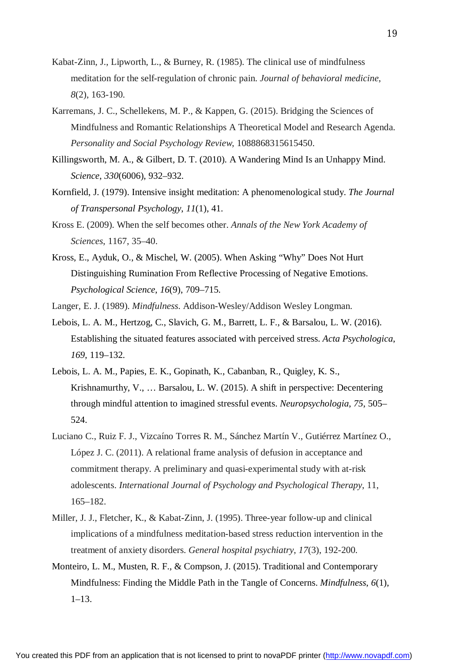- Kabat-Zinn, J., Lipworth, L., & Burney, R. (1985). The clinical use of mindfulness meditation for the self-regulation of chronic pain. *Journal of behavioral medicine*, *8*(2), 163-190.
- Karremans, J. C., Schellekens, M. P., & Kappen, G. (2015). Bridging the Sciences of Mindfulness and Romantic Relationships A Theoretical Model and Research Agenda. *Personality and Social Psychology Review*, 1088868315615450.
- Killingsworth, M. A., & Gilbert, D. T. (2010). A Wandering Mind Is an Unhappy Mind. *Science*, *330*(6006), 932–932.
- Kornfield, J. (1979). Intensive insight meditation: A phenomenological study. *The Journal of Transpersonal Psychology*, *11*(1), 41.
- Kross E. (2009). When the self becomes other. *Annals of the New York Academy of Sciences*, 1167, 35–40.
- Kross, E., Ayduk, O., & Mischel, W. (2005). When Asking "Why" Does Not Hurt Distinguishing Rumination From Reflective Processing of Negative Emotions. *Psychological Science*, *16*(9), 709–715.
- Langer, E. J. (1989). *Mindfulness*. Addison-Wesley/Addison Wesley Longman.
- Lebois, L. A. M., Hertzog, C., Slavich, G. M., Barrett, L. F., & Barsalou, L. W. (2016). Establishing the situated features associated with perceived stress. *Acta Psychologica*, *169*, 119–132.
- Lebois, L. A. M., Papies, E. K., Gopinath, K., Cabanban, R., Quigley, K. S., Krishnamurthy, V., … Barsalou, L. W. (2015). A shift in perspective: Decentering through mindful attention to imagined stressful events. *Neuropsychologia*, *75*, 505– 524.
- Luciano C., Ruiz F. J., Vizcaíno Torres R. M., Sánchez Martín V., Gutiérrez Martínez O., López J. C. (2011). A relational frame analysis of defusion in acceptance and commitment therapy. A preliminary and quasi-experimental study with at-risk adolescents. *International Journal of Psychology and Psychological Therapy*, 11, 165–182.
- Miller, J. J., Fletcher, K., & Kabat-Zinn, J. (1995). Three-year follow-up and clinical implications of a mindfulness meditation-based stress reduction intervention in the treatment of anxiety disorders. *General hospital psychiatry*, *17*(3), 192-200.
- Monteiro, L. M., Musten, R. F., & Compson, J. (2015). Traditional and Contemporary Mindfulness: Finding the Middle Path in the Tangle of Concerns. *Mindfulness*, *6*(1), 1–13.